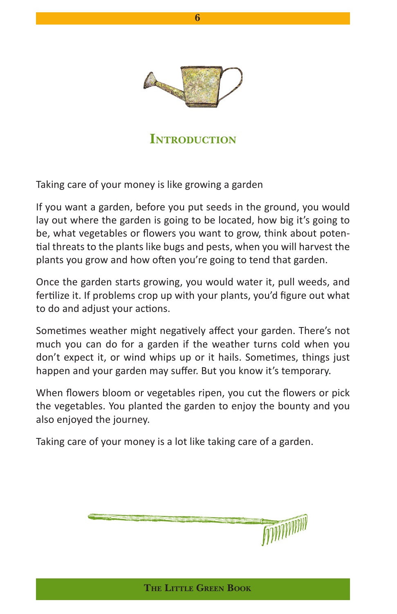

## **INTRODUCTION**

Taking care of your money is like growing a garden

If you want a garden, before you put seeds in the ground, you would lay out where the garden is going to be located, how big it's going to be, what vegetables or flowers you want to grow, think about potential threats to the plants like bugs and pests, when you will harvest the plants you grow and how often you're going to tend that garden.

Once the garden starts growing, you would water it, pull weeds, and fertilize it. If problems crop up with your plants, you'd figure out what to do and adjust your actions.

Sometimes weather might negatively affect your garden. There's not much you can do for a garden if the weather turns cold when you don't expect it, or wind whips up or it hails. Sometimes, things just happen and your garden may suffer. But you know it's temporary.

When flowers bloom or vegetables ripen, you cut the flowers or pick the vegetables. You planted the garden to enjoy the bounty and you also enjoyed the journey.

Taking care of your money is a lot like taking care of a garden.